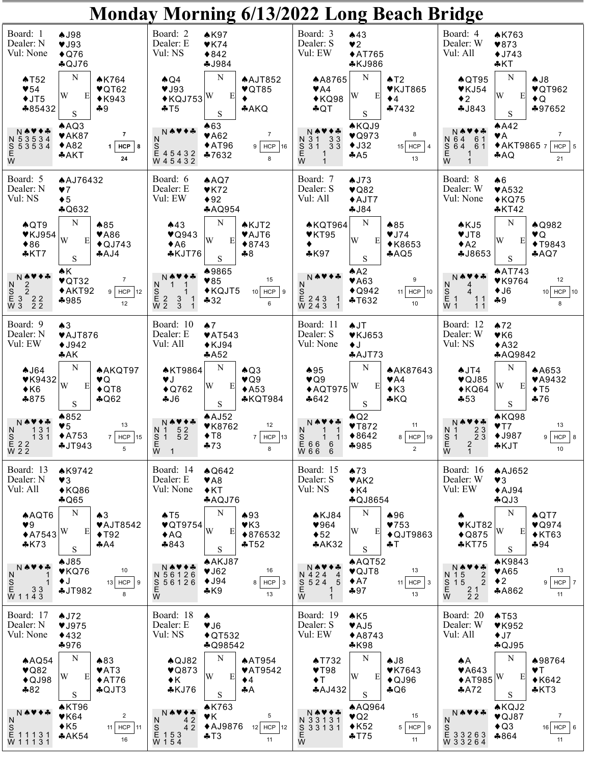| Monday Morning 6/13/2022 Long Beach Bridge                                                                              |                                                                                                            |                                                                                                                                                                                                                 |                                                                                                                                                                                                  |                                                                                                                                                                                                                                                                                |  |  |  |  |
|-------------------------------------------------------------------------------------------------------------------------|------------------------------------------------------------------------------------------------------------|-----------------------------------------------------------------------------------------------------------------------------------------------------------------------------------------------------------------|--------------------------------------------------------------------------------------------------------------------------------------------------------------------------------------------------|--------------------------------------------------------------------------------------------------------------------------------------------------------------------------------------------------------------------------------------------------------------------------------|--|--|--|--|
| Board: 1<br>Dealer: N<br>Vul: None                                                                                      | <b>AJ98</b><br>VJ93<br>$\bigstar$ Q76<br>$A$ QJ76                                                          | Board: 2<br>$A$ K97<br>Dealer: E<br>$\blacktriangledown$ K74<br>Vul: NS<br>$*842$<br><b>4J984</b>                                                                                                               | Board: 3<br>A43<br>Dealer: S<br>$\blacktriangledown$<br>Vul: EW<br>$*AT765$<br><b>*KJ986</b>                                                                                                     | Board: 4<br><b>AK763</b><br>Dealer: W<br>$*873$<br>Vul: All<br>$\times$ J743<br>$*$ KT                                                                                                                                                                                         |  |  |  |  |
| $\triangle$ T52<br>$\blacktriangledown 54$<br>$+JT5$<br>♣85432                                                          | N<br><b>AK764</b><br>$\blacktriangledown$ QT62<br>W<br>E<br>$*K943$<br>$-9$<br>S                           | N<br>$\bigwedge$ Q4<br><b>AAJT852</b><br>VJ93<br>$\blacktriangledown$ QT85<br>E<br>$\blacklozenge$ KQJ753 $\vert W \vert$<br>AAKQ<br>$+T5$<br>$\mathbf S$                                                       | N<br><b>AA8765</b><br>$\triangle$ T2<br><b>♥KJT865</b><br>$\blacktriangledown$ A4<br>W<br>E<br>$*KQ98$<br>$\blacklozenge$ 4<br>$*7432$<br>$\clubsuit$ QT<br>S                                    | N<br>AJ8<br>$\triangle$ QT95<br>$V$ KJ54<br>$\blacktriangledown$ QT962<br>W<br>E<br>$\bullet$ 2<br>$\bigstar$ Q<br>♣97652<br>4J843<br>$\mathbf S$                                                                                                                              |  |  |  |  |
| N 53534<br>S 53534<br>E<br>W                                                                                            | AAQ3<br>$\overline{7}$<br>$\blacktriangledown$ AK87<br>$*A82$<br><b>HCP</b><br>1<br>8<br><b>*AKT</b><br>24 | A63<br>$\blacktriangledown$ A62<br>$\overline{7}$<br>N<br>$\blacklozenge$ AT96<br>S<br>E 4 5 4 3 2<br>W 4 5 4 3 2<br>$9$ HCP 16<br>♣7632<br>8                                                                   | <b>AKQJ9</b><br>$\blacktriangledown$ Q973<br>8<br>N 31 33<br>S 31 33<br>$+J32$<br>$15$ HCP<br>E<br>W<br>AA5<br>13                                                                                | AA2<br>VA<br>7<br>N 64 61<br>S 64 61<br>E 1<br>W 1<br>◆AKT98657<br>$HCP$ 5<br>*AQ<br>21                                                                                                                                                                                        |  |  |  |  |
| Board: 5<br>Dealer: N<br>Vul: NS                                                                                        | <b>AAJ76432</b><br>V<br>$\blacklozenge$ 5<br>$A$ Q632                                                      | Board: 6<br>A AQ7<br>Dealer: E<br>$\blacktriangledown$ K72<br>Vul: EW<br>$\blacklozenge 92$<br><b>*AQ954</b>                                                                                                    | Board: 7<br>AJ73<br>Dealer: S<br>$\blacktriangledown$ Q82<br>Vul: All<br>$+AJT7$<br>4J84                                                                                                         | Board: 8<br>A6<br>Dealer: W<br>$\blacktriangledown$ A532<br>Vul: None<br>$*$ KQ75<br>$*KT42$                                                                                                                                                                                   |  |  |  |  |
| $\bigwedge$ QT9<br>$\blacktriangledown$ KJ954<br>$*86$<br>$*$ KT7                                                       | N<br>$*85$<br><b>♥A86</b><br>W<br>E<br>$\triangle$ QJ743<br>$A$ AJ4<br>$\mathbf S$                         | $\mathbf N$<br>A43<br><b>AKJT2</b><br>$\blacktriangledown$ Q943<br>♥AJT6<br>W<br>E<br>A6<br>$*8743$<br>$*$ KJT76<br>$+8$<br>$\mathbf S$                                                                         | ${\bf N}$<br><b>AKQT964</b><br>$\clubsuit 85$<br>$\blacktriangledown$ KT95<br>VJ74<br>W<br>E<br><b>◆K8653</b><br>$*K97$<br>AQQ5<br>S                                                             | ${\bf N}$<br><b>AQ982</b><br>AKJ5<br>♥JT8<br>۷Q<br>W<br>E<br><b>◆T9843</b><br>A2<br><b>4J8653</b><br>AQQ<br>$\mathbf S$                                                                                                                                                        |  |  |  |  |
| NAV+∻<br>$\begin{array}{c} N^2 \\ S \\ E \\ E \\ W \\ 3 \end{array} \begin{array}{c} 2 \\ 2 \\ 2 \\ 2 \\ 2 \end{array}$ | ♠Κ<br>$\overline{7}$<br>$\blacktriangledown$ QT32<br>$*AKT92$<br>$9$ HCP 12<br>$*985$<br>12                | ♦9865<br>15<br>$\blacktriangledown 85$<br>N<br>$\triangle$ KQJT5<br>S<br>E 2<br>W 2<br>$10$ HCP $\vert$ 9<br>$\frac{3}{3}$<br>$-32$<br>6                                                                        | AA2<br>NAV<br>9<br>$\blacktriangledown$ A63<br>N<br>$\triangle$ Q942<br>11 HCP $10$<br>$\begin{array}{ccc} \n\bar{E} & 2 & 4 & 3 & 1 \\ \nW & 2 & 4 & 3 & 1 \n\end{array}$<br>$+T632$<br>10      | <b>AAT743</b><br>NAV<br>12<br><b>♥K9764</b><br>N<br>$\blacklozenge$ J6<br>$\frac{1}{5}$<br>W 1<br>$10$ HCP $10$<br>4<br>$\begin{array}{c} 11 \\ 11 \end{array}$<br>$+9$<br>8                                                                                                   |  |  |  |  |
| Board: 9<br>Dealer: N<br>Vul: EW                                                                                        | A3<br>♥AJT876<br>$•$ J942<br>AAK                                                                           | Board: 10<br>$\spadesuit$ 7<br>Dealer: E<br>$\blacktriangledown$ AT543<br>Vul: All<br>$\blacklozenge$ KJ94<br>A452                                                                                              | Board: 11<br><b>AJT</b><br>Dealer: S<br><b>♥KJ653</b><br>Vul: None<br>$\blacklozenge$<br>$A$ AJT73                                                                                               | Board: 12<br>A72<br>Dealer: W<br>V <sub>K6</sub><br>Vul: NS<br>$*$ A32<br><b>*AQ9842</b>                                                                                                                                                                                       |  |  |  |  |
| AJ64<br>$\Psi$ K9432<br>$\triangle$ K6<br>$*875$                                                                        | N<br><b>AAKQT97</b><br>VQ<br>W<br>E<br>$\triangle$ QT8<br>$A$ Q62<br>$\mathbf S$                           | N<br><b>AKT9864</b><br>AQ3<br>$\blacktriangledown$ Q9<br>٧J<br>W<br>E<br>$\bigstar$ Q762<br>$\triangle$ A53<br>$-16$<br>$*$ KQT984<br>$\mathbf S$                                                               | N<br>$*95$<br><b>AAK87643</b><br>$\blacktriangledown$ Q9<br>$\blacktriangledown$ A4<br>$\boldsymbol{\mathrm{E}}$<br>$\triangle$ AQT975 $\vert W \vert$<br>$\triangle$ K3<br>$*KQ$<br>$*642$<br>S | N<br>$\triangle$ JT4<br><b>AA653</b><br>$\blacktriangledown$ QJ85<br>$\Psi$ A9432<br>W<br>E<br>$\blacklozenge$ T <sub>5</sub><br>$\triangle$ KQ64<br>$-53$<br>$*76$<br>$\mathbf S$                                                                                             |  |  |  |  |
| N A V<br>N<br>131<br>$\begin{array}{c} 8 \\ E \\ W \\ 2 \\ 2 \end{array}$<br>131                                        | ▲852<br>$13$<br>$\blacktriangledown_5$<br>$*A753$<br>$7$ HCP 15<br>$+JT943$<br>5                           | $A$ AJ52<br>12<br><b>♥K8762</b><br>$\begin{smallmatrix}5&2\\5&2\end{smallmatrix}$<br>N 1<br>$\blacklozenge$ T <sub>8</sub><br>$7$ HCP 13<br>S<br>1<br>$\begin{bmatrix} 1 \\ 2 \\ 3 \end{bmatrix}$<br>$*73$<br>8 | $\bigwedge$ Q2<br>NA'<br>11<br>YT872<br>N<br>◆8642<br>8 HCP 19<br>$E$ 66 6<br>W 66 6<br>$*985$<br>$\overline{2}$                                                                                 | AKQ98<br>13<br>YT7<br>2 <sub>3</sub><br>$\begin{array}{c}\nN \\ S \\ E \\ W\n\end{array}$<br>$\blacklozenge$ J987<br>$9$ HCP $8$<br>$2\overline{3}$<br>$\frac{2}{1}$<br>*KJT<br>10                                                                                             |  |  |  |  |
| Board: 13<br>Dealer: N<br>Vul: All                                                                                      | <b>AK9742</b><br>$\blacktriangledown$ 3<br>$*KQ86$<br>$A$ Q65                                              | Board: 14<br>$\bigwedge$ Q642<br>Dealer: E<br>$\blacktriangledown$ A8<br>Vul: None<br>$\triangle K$ T<br>$A\text{AQJ}$ 76                                                                                       | Board: 15<br>A73<br>Dealer: S<br>$\blacktriangledown$ AK2<br>Vul: NS<br>$\triangle$ K4<br><b>*QJ8654</b>                                                                                         | Board: 16<br><b>AAJ652</b><br>Dealer: W<br>$\blacktriangledown$<br>Vul: EW<br>$A$ J94<br>$A$ QJ3                                                                                                                                                                               |  |  |  |  |
| <b>AAQT6</b><br>$\blacktriangledown 9$<br>$*A7543$<br>$*K73$                                                            | N<br>A <sub>3</sub><br><b>♥AJT8542</b><br>W<br>E<br>$\blacklozenge$ T92<br>AA<br>S                         | N<br>AT5<br>$*93$<br>♥QT9754<br>V <sub>K3</sub><br>W<br>E<br>AQ<br>♦876532<br>$*843$<br>$+T52$<br>$\mathbf S$                                                                                                   | N<br>$*96$<br>AKJ84<br>964<br>$\blacktriangledown$ 53<br>W<br>Ε<br>$\blacklozenge$ 52<br>◆QJT9863<br>AAK32<br>$+T$<br>$\mathbf S$                                                                | N<br>$\bigwedge$ QT7<br>♥KJT82<br>$\blacktriangledown$ Q974<br>W<br>E<br>$\blacklozenge$ Q875<br>$*$ KT63<br>$*$ KT75<br>$*94$<br>$\mathbf S$                                                                                                                                  |  |  |  |  |
| NѦ♥♦品<br>N<br>1                                                                                                         | AJ85<br>10<br>$\blacktriangledown$ KQ76<br>$\blacklozenge$ J<br>$13$ HCP $\vert$ 9<br><b>AJT982</b><br>8   | AAKJ87<br>16<br>9J62<br>N 56126<br>$\blacklozenge$ J94<br>S 5 6 1 2 6<br>E<br>W<br>8   HCP   3<br>$*K9$<br>13                                                                                                   | AAQT52<br>N ♠♥◆♣<br>13<br>$\blacktriangledown$ QJT8<br>$\overline{4}$<br>N 4 2 4<br>$5\phantom{.0}$<br>$\triangle$ A7<br>S <sub>524</sub><br>11 HCP $\vert 3$<br>Е<br>W<br>1<br>$+97$<br>13<br>1 | <b>AK9843</b><br>13<br>$\blacktriangledown$ A65<br>N 15<br>$\overline{2}$<br>$\triangleleft 2$<br>$\begin{array}{c} \n 15 \\  \n 15 \\  \n 0\n \end{array}$<br>$\overline{2}$<br>$9$   HCP   7<br>$\begin{smallmatrix} 2 & 1 \\ 2 & 2 \end{smallmatrix}$<br><b>*A862</b><br>11 |  |  |  |  |
| Board: 17<br>Dealer: N<br>Vul: None                                                                                     | AJ72<br>975<br>$*432$<br>$*976$                                                                            | Board: 18<br>۸<br>Dealer: E<br>VJ6<br>Vul: NS<br>$\blacklozenge$ QT532<br>$*$ Q98542                                                                                                                            | Board: 19<br>AK5<br>Dealer: S<br>♥AJ5<br>Vul: EW<br>$*A8743$<br>$*K98$                                                                                                                           | Board: 20<br>AT53<br>Dealer: W<br>$\blacktriangledown$ K952<br>Vul: All<br>$\bigstar$ J7<br>$A$ QJ95                                                                                                                                                                           |  |  |  |  |
| AQQ54<br>$\blacktriangledown$ Q82<br>$\bigstar$ QJ98<br>$*82$                                                           | N<br>$*83$<br>$\blacktriangledown$ AT3<br>W<br>E<br>$*AT76$<br>$\bigtriangleup$ QJT3<br>$\mathbf S$        | N<br><b>AAT954</b><br>AQJ82<br>$\blacktriangledown$ Q873<br><b>♥AT9542</b><br>W<br>E<br>$\blacklozenge$ K<br>$\blacklozenge$ 4<br>$*$ KJ76<br>۰А<br>$\mathbf S$                                                 | N<br>AJB<br>AT732<br>$V$ T98<br><b>♥K7643</b><br>W<br>Е<br>$\blacklozenge$ T<br>$\bigstar$ QJ96<br>$A$ AJ432<br>$A$ Q6<br>S                                                                      | N<br>♦98764<br>٨Α<br><b>♥A643</b><br><b>VT</b><br>$\triangle$ AT985 $ W $<br>E<br>$*K642$<br>A72<br>$*KT3$<br>$\mathbf S$                                                                                                                                                      |  |  |  |  |
| N <del>a</del> ve<br>N                                                                                                  | AKT96<br>$\overline{c}$<br>VK64<br>$\triangle$ K5<br>$11$ HCP<br>11<br>AAK54<br>16                         | <b>AK763</b><br>NѦ♥♦♣<br>5<br>VK<br>N<br><b>◆AJ9876</b><br>42<br>HCP<br>12<br>12 <sub>1</sub><br>$+T3$<br>11                                                                                                    | <b>AAQ964</b><br>NѦ♥✦♣<br>15<br>$\blacktriangledown$ Q2<br>N 33131<br>$\triangle$ K52<br>S 3 3 1 3 1<br>$5$ HCP<br>9<br>Е<br>$+T75$<br>11<br>W                                                   | <b>AKQJ2</b><br>$\overline{7}$<br>♥QJ87<br>N<br>$\triangle$ Q3<br>$16$ HCP $6$<br>$*864$<br>11                                                                                                                                                                                 |  |  |  |  |